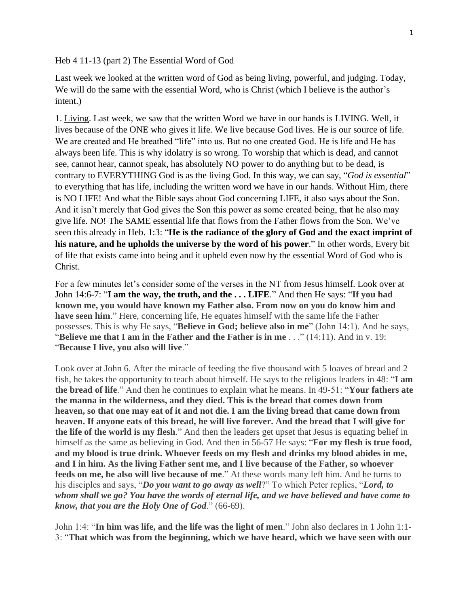Heb 4 11-13 (part 2) The Essential Word of God

Last week we looked at the written word of God as being living, powerful, and judging. Today, We will do the same with the essential Word, who is Christ (which I believe is the author's intent.)

1. Living. Last week, we saw that the written Word we have in our hands is LIVING. Well, it lives because of the ONE who gives it life. We live because God lives. He is our source of life. We are created and He breathed "life" into us. But no one created God. He is life and He has always been life. This is why idolatry is so wrong. To worship that which is dead, and cannot see, cannot hear, cannot speak, has absolutely NO power to do anything but to be dead, is contrary to EVERYTHING God is as the living God. In this way, we can say, "*God is essential*" to everything that has life, including the written word we have in our hands. Without Him, there is NO LIFE! And what the Bible says about God concerning LIFE, it also says about the Son. And it isn't merely that God gives the Son this power as some created being, that he also may give life. NO! The SAME essential life that flows from the Father flows from the Son. We've seen this already in Heb. 1:3: "**He is the radiance of the glory of God and the exact imprint of his nature, and he upholds the universe by the word of his power**." In other words, Every bit of life that exists came into being and it upheld even now by the essential Word of God who is Christ.

For a few minutes let's consider some of the verses in the NT from Jesus himself. Look over at John 14:6-7: "**I am the way, the truth, and the . . . LIFE**." And then He says: "**If you had known me, you would have known my Father also. From now on you do know him and have seen him**." Here, concerning life, He equates himself with the same life the Father possesses. This is why He says, "**Believe in God; believe also in me**" (John 14:1). And he says, "**Believe me that I am in the Father and the Father is in me** . . ." (14:11). And in v. 19: "**Because I live, you also will live**."

Look over at John 6. After the miracle of feeding the five thousand with 5 loaves of bread and 2 fish, he takes the opportunity to teach about himself. He says to the religious leaders in 48: "**I am the bread of life**." And then he continues to explain what he means. In 49-51: "**Your fathers ate the manna in the wilderness, and they died. This is the bread that comes down from heaven, so that one may eat of it and not die. I am the living bread that came down from heaven. If anyone eats of this bread, he will live forever. And the bread that I will give for the life of the world is my flesh**." And then the leaders get upset that Jesus is equating belief in himself as the same as believing in God. And then in 56-57 He says: "**For my flesh is true food, and my blood is true drink. Whoever feeds on my flesh and drinks my blood abides in me, and I in him. As the living Father sent me, and I live because of the Father, so whoever feeds on me, he also will live because of me**." At these words many left him. And he turns to his disciples and says, "*Do you want to go away as well*?" To which Peter replies, "*Lord, to whom shall we go? You have the words of eternal life, and we have believed and have come to know, that you are the Holy One of God*." (66-69).

John 1:4: "**In him was life, and the life was the light of men**." John also declares in 1 John 1:1- 3: "**That which was from the beginning, which we have heard, which we have seen with our**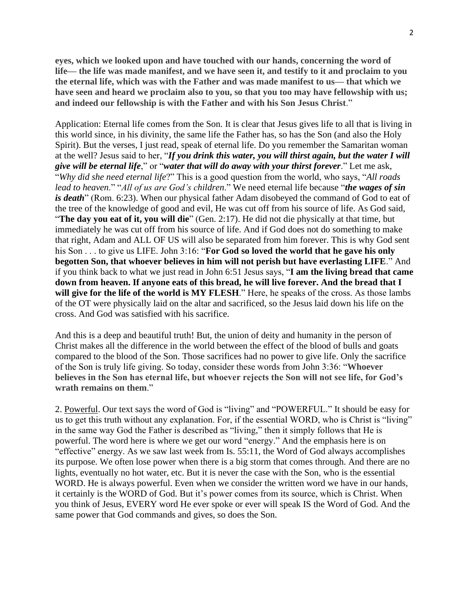**eyes, which we looked upon and have touched with our hands, concerning the word of life— the life was made manifest, and we have seen it, and testify to it and proclaim to you the eternal life, which was with the Father and was made manifest to us— that which we have seen and heard we proclaim also to you, so that you too may have fellowship with us; and indeed our fellowship is with the Father and with his Son Jesus Christ**."

Application: Eternal life comes from the Son. It is clear that Jesus gives life to all that is living in this world since, in his divinity, the same life the Father has, so has the Son (and also the Holy Spirit). But the verses, I just read, speak of eternal life. Do you remember the Samaritan woman at the well? Jesus said to her, "*If you drink this water, you will thirst again, but the water I will give will be eternal life*," or "*water that will do away with your thirst forever*." Let me ask, "*Why did she need eternal life*?" This is a good question from the world, who says, "*All roads lead to heaven*." "*All of us are God's children*." We need eternal life because "*the wages of sin is death*" (Rom. 6:23). When our physical father Adam disobeyed the command of God to eat of the tree of the knowledge of good and evil, He was cut off from his source of life. As God said, "**The day you eat of it, you will die**" (Gen. 2:17). He did not die physically at that time, but immediately he was cut off from his source of life. And if God does not do something to make that right, Adam and ALL OF US will also be separated from him forever. This is why God sent his Son . . . to give us LIFE. John 3:16: "**For God so loved the world that he gave his only begotten Son, that whoever believes in him will not perish but have everlasting LIFE**." And if you think back to what we just read in John 6:51 Jesus says, "**I am the living bread that came down from heaven. If anyone eats of this bread, he will live forever. And the bread that I will give for the life of the world is MY FLESH**." Here, he speaks of the cross. As those lambs of the OT were physically laid on the altar and sacrificed, so the Jesus laid down his life on the cross. And God was satisfied with his sacrifice.

And this is a deep and beautiful truth! But, the union of deity and humanity in the person of Christ makes all the difference in the world between the effect of the blood of bulls and goats compared to the blood of the Son. Those sacrifices had no power to give life. Only the sacrifice of the Son is truly life giving. So today, consider these words from John 3:36: "**Whoever believes in the Son has eternal life, but whoever rejects the Son will not see life, for God's wrath remains on them**."

2. Powerful. Our text says the word of God is "living" and "POWERFUL." It should be easy for us to get this truth without any explanation. For, if the essential WORD, who is Christ is "living" in the same way God the Father is described as "living," then it simply follows that He is powerful. The word here is where we get our word "energy." And the emphasis here is on "effective" energy. As we saw last week from Is. 55:11, the Word of God always accomplishes its purpose. We often lose power when there is a big storm that comes through. And there are no lights, eventually no hot water, etc. But it is never the case with the Son, who is the essential WORD. He is always powerful. Even when we consider the written word we have in our hands, it certainly is the WORD of God. But it's power comes from its source, which is Christ. When you think of Jesus, EVERY word He ever spoke or ever will speak IS the Word of God. And the same power that God commands and gives, so does the Son.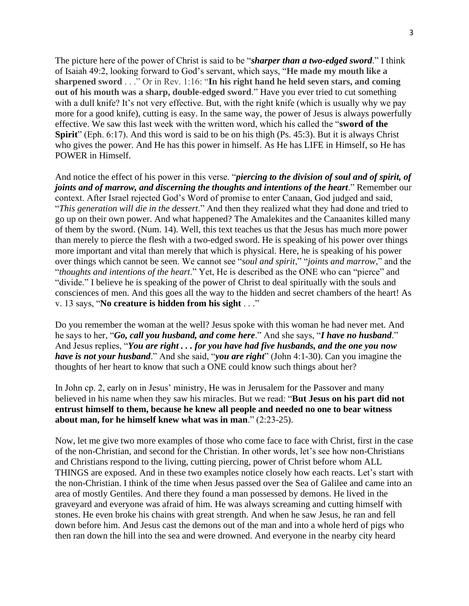The picture here of the power of Christ is said to be "*sharper than a two-edged sword*." I think of Isaiah 49:2, looking forward to God's servant, which says, "**He made my mouth like a sharpened sword** . . ." Or in Rev. 1:16: "**In his right hand he held seven stars, and coming out of his mouth was a sharp, double-edged sword**." Have you ever tried to cut something with a dull knife? It's not very effective. But, with the right knife (which is usually why we pay more for a good knife), cutting is easy. In the same way, the power of Jesus is always powerfully effective. We saw this last week with the written word, which his called the "**sword of the Spirit**" (Eph. 6:17). And this word is said to be on his thigh (Ps. 45:3). But it is always Christ who gives the power. And He has this power in himself. As He has LIFE in Himself, so He has POWER in Himself.

And notice the effect of his power in this verse. "*piercing to the division of soul and of spirit, of joints and of marrow, and discerning the thoughts and intentions of the heart*." Remember our context. After Israel rejected God's Word of promise to enter Canaan, God judged and said, "*This generation will die in the dessert*." And then they realized what they had done and tried to go up on their own power. And what happened? The Amalekites and the Canaanites killed many of them by the sword. (Num. 14). Well, this text teaches us that the Jesus has much more power than merely to pierce the flesh with a two-edged sword. He is speaking of his power over things more important and vital than merely that which is physical. Here, he is speaking of his power over things which cannot be seen. We cannot see "*soul and spirit*," "*joints and marrow*," and the "*thoughts and intentions of the heart*." Yet, He is described as the ONE who can "pierce" and "divide." I believe he is speaking of the power of Christ to deal spiritually with the souls and consciences of men. And this goes all the way to the hidden and secret chambers of the heart! As v. 13 says, "**No creature is hidden from his sight** . . ."

Do you remember the woman at the well? Jesus spoke with this woman he had never met. And he says to her, "*Go, call you husband, and come here*." And she says, "*I have no husband*." And Jesus replies, "*You are right . . . for you have had five husbands, and the one you now have is not your husband*." And she said, "*you are right*" (John 4:1-30). Can you imagine the thoughts of her heart to know that such a ONE could know such things about her?

In John cp. 2, early on in Jesus' ministry, He was in Jerusalem for the Passover and many believed in his name when they saw his miracles. But we read: "**But Jesus on his part did not entrust himself to them, because he knew all people and needed no one to bear witness about man, for he himself knew what was in man**." (2:23-25).

Now, let me give two more examples of those who come face to face with Christ, first in the case of the non-Christian, and second for the Christian. In other words, let's see how non-Christians and Christians respond to the living, cutting piercing, power of Christ before whom ALL THINGS are exposed. And in these two examples notice closely how each reacts. Let's start with the non-Christian. I think of the time when Jesus passed over the Sea of Galilee and came into an area of mostly Gentiles. And there they found a man possessed by demons. He lived in the graveyard and everyone was afraid of him. He was always screaming and cutting himself with stones. He even broke his chains with great strength. And when he saw Jesus, he ran and fell down before him. And Jesus cast the demons out of the man and into a whole herd of pigs who then ran down the hill into the sea and were drowned. And everyone in the nearby city heard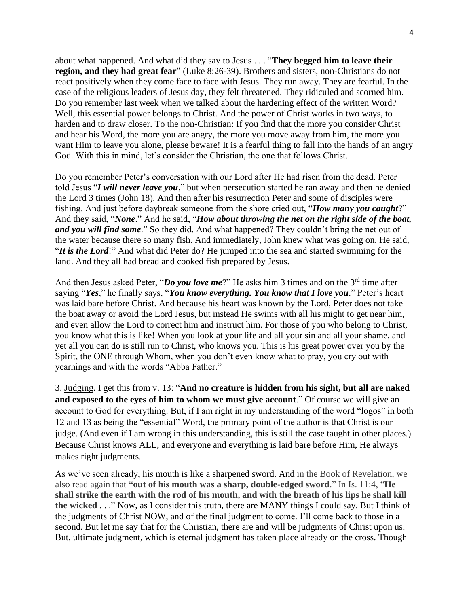about what happened. And what did they say to Jesus . . . "**They begged him to leave their region, and they had great fear**" (Luke 8:26-39). Brothers and sisters, non-Christians do not react positively when they come face to face with Jesus. They run away. They are fearful. In the case of the religious leaders of Jesus day, they felt threatened. They ridiculed and scorned him. Do you remember last week when we talked about the hardening effect of the written Word? Well, this essential power belongs to Christ. And the power of Christ works in two ways, to harden and to draw closer. To the non-Christian: If you find that the more you consider Christ and hear his Word, the more you are angry, the more you move away from him, the more you want Him to leave you alone, please beware! It is a fearful thing to fall into the hands of an angry God. With this in mind, let's consider the Christian, the one that follows Christ.

Do you remember Peter's conversation with our Lord after He had risen from the dead. Peter told Jesus "*I will never leave you*," but when persecution started he ran away and then he denied the Lord 3 times (John 18). And then after his resurrection Peter and some of disciples were fishing. And just before daybreak someone from the shore cried out, "*How many you caught*?" And they said, "*None*." And he said, "*How about throwing the net on the right side of the boat, and you will find some*." So they did. And what happened? They couldn't bring the net out of the water because there so many fish. And immediately, John knew what was going on. He said, "*It is the Lord*!" And what did Peter do? He jumped into the sea and started swimming for the land. And they all had bread and cooked fish prepared by Jesus.

And then Jesus asked Peter, "*Do you love me*?" He asks him 3 times and on the 3<sup>rd</sup> time after saying "*Yes*," he finally says, "*You know everything. You know that I love you*." Peter's heart was laid bare before Christ. And because his heart was known by the Lord, Peter does not take the boat away or avoid the Lord Jesus, but instead He swims with all his might to get near him, and even allow the Lord to correct him and instruct him. For those of you who belong to Christ, you know what this is like! When you look at your life and all your sin and all your shame, and yet all you can do is still run to Christ, who knows you. This is his great power over you by the Spirit, the ONE through Whom, when you don't even know what to pray, you cry out with yearnings and with the words "Abba Father."

3. Judging. I get this from v. 13: "**And no creature is hidden from his sight, but all are naked and exposed to the eyes of him to whom we must give account**." Of course we will give an account to God for everything. But, if I am right in my understanding of the word "logos" in both 12 and 13 as being the "essential" Word, the primary point of the author is that Christ is our judge. (And even if I am wrong in this understanding, this is still the case taught in other places.) Because Christ knows ALL, and everyone and everything is laid bare before Him, He always makes right judgments.

As we've seen already, his mouth is like a sharpened sword. And in the Book of Revelation, we also read again that **"out of his mouth was a sharp, double-edged sword**." In Is. 11:4, "**He shall strike the earth with the rod of his mouth, and with the breath of his lips he shall kill the wicked** . . ." Now, as I consider this truth, there are MANY things I could say. But I think of the judgments of Christ NOW, and of the final judgment to come. I'll come back to those in a second. But let me say that for the Christian, there are and will be judgments of Christ upon us. But, ultimate judgment, which is eternal judgment has taken place already on the cross. Though